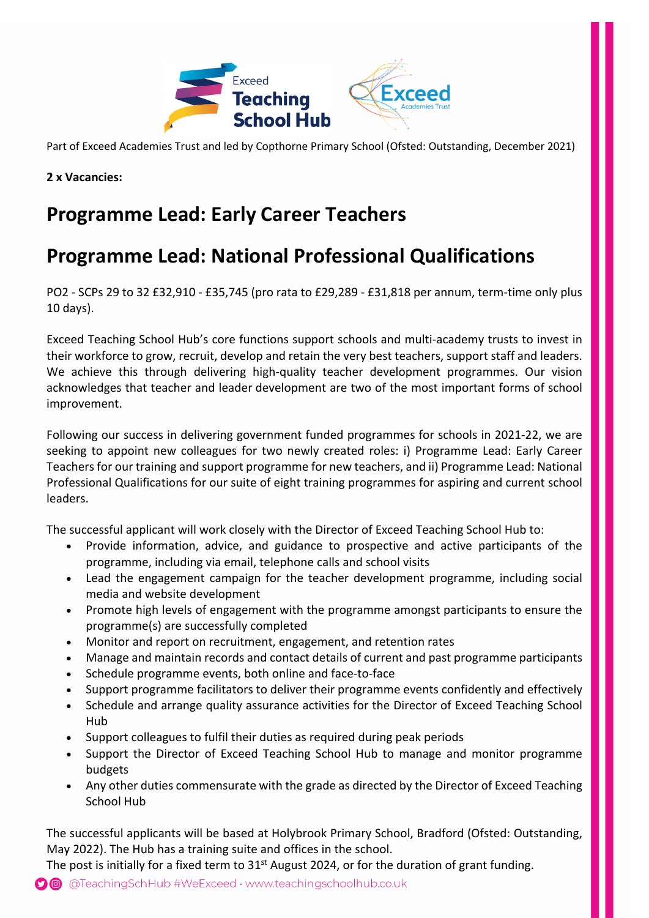

Part of Exceed Academies Trust and led by Copthorne Primary School (Ofsted: Outstanding, December 2021)

**2 x Vacancies:**

# **Programme Lead: Early Career Teachers**

# **Programme Lead: National Professional Qualifications**

PO2 - SCPs 29 to 32 £32,910 - £35,745 (pro rata to £29,289 - £31,818 per annum, term-time only plus 10 days).

Exceed Teaching School Hub's core functions support schools and multi-academy trusts to invest in their workforce to grow, recruit, develop and retain the very best teachers, support staff and leaders. We achieve this through delivering high-quality teacher development programmes. Our vision acknowledges that teacher and leader development are two of the most important forms of school improvement.

Following our success in delivering government funded programmes for schools in 2021-22, we are seeking to appoint new colleagues for two newly created roles: i) Programme Lead: Early Career Teachers for our training and support programme for new teachers, and ii) Programme Lead: National Professional Qualifications for our suite of eight training programmes for aspiring and current school leaders.

The successful applicant will work closely with the Director of Exceed Teaching School Hub to:

- Provide information, advice, and guidance to prospective and active participants of the programme, including via email, telephone calls and school visits
- Lead the engagement campaign for the teacher development programme, including social media and website development
- Promote high levels of engagement with the programme amongst participants to ensure the programme(s) are successfully completed
- Monitor and report on recruitment, engagement, and retention rates
- Manage and maintain records and contact details of current and past programme participants
- Schedule programme events, both online and face-to-face
- Support programme facilitators to deliver their programme events confidently and effectively
- Schedule and arrange quality assurance activities for the Director of Exceed Teaching School Hub
- Support colleagues to fulfil their duties as required during peak periods
- Support the Director of Exceed Teaching School Hub to manage and monitor programme budgets
- Any other duties commensurate with the grade as directed by the Director of Exceed Teaching School Hub

The successful applicants will be based at Holybrook Primary School, Bradford (Ofsted: Outstanding, May 2022). The Hub has a training suite and offices in the school.

The post is initially for a fixed term to  $31<sup>st</sup>$  August 2024, or for the duration of grant funding.

@ @TeachingSchHub #WeExceed · www.teachingschoolhub.co.uk